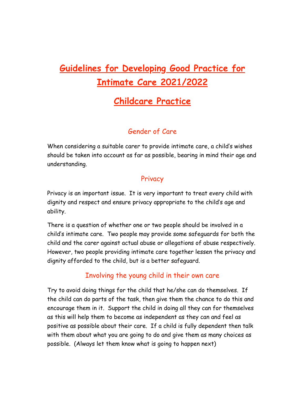# **Guidelines for Developing Good Practice for Intimate Care 2021/2022**

## **Childcare Practice**

## Gender of Care

When considering a suitable carer to provide intimate care, a child's wishes should be taken into account as far as possible, bearing in mind their age and understanding.

#### **Privacy**

Privacy is an important issue. It is very important to treat every child with dignity and respect and ensure privacy appropriate to the child's age and ability.

There is a question of whether one or two people should be involved in a child's intimate care. Two people may provide some safeguards for both the child and the carer against actual abuse or allegations of abuse respectively. However, two people providing intimate care together lessen the privacy and dignity afforded to the child, but is a better safeguard.

## Involving the young child in their own care

Try to avoid doing things for the child that he/she can do themselves. If the child can do parts of the task, then give them the chance to do this and encourage them in it. Support the child in doing all they can for themselves as this will help them to become as independent as they can and feel as positive as possible about their care. If a child is fully dependent then talk with them about what you are going to do and give them as many choices as possible. (Always let them know what is going to happen next)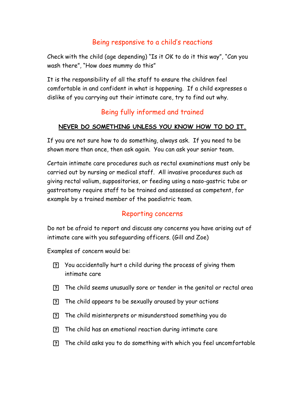#### Being responsive to a child's reactions

Check with the child (age depending) "Is it OK to do it this way", "Can you wash there", "How does mummy do this"

It is the responsibility of all the staff to ensure the children feel comfortable in and confident in what is happening. If a child expresses a dislike of you carrying out their intimate care, try to find out why.

## Being fully informed and trained

#### **NEVER DO SOMETHING UNLESS YOU KNOW HOW TO DO IT.**

If you are not sure how to do something, always ask. If you need to be shown more than once, then ask again. You can ask your senior team.

Certain intimate care procedures such as rectal examinations must only be carried out by nursing or medical staff. All invasive procedures such as giving rectal valium, suppositories, or feeding using a naso-gastric tube or gastrostomy require staff to be trained and assessed as competent, for example by a trained member of the paediatric team.

#### Reporting concerns

Do not be afraid to report and discuss any concerns you have arising out of intimate care with you safeguarding officers. (Gill and Zoe)

Examples of concern would be:

- You accidentally hurt a child during the process of giving them intimate care
- The child seems unusually sore or tender in the genital or rectal area
- The child appears to be sexually aroused by your actions
- The child misinterprets or misunderstood something you do
- The child has an emotional reaction during intimate care
- The child asks you to do something with which you feel uncomfortable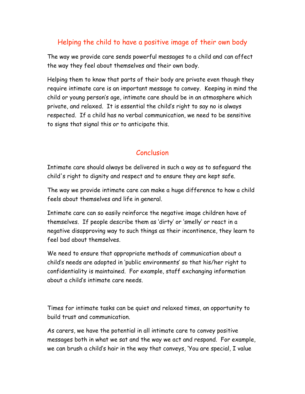## Helping the child to have a positive image of their own body

The way we provide care sends powerful messages to a child and can affect the way they feel about themselves and their own body.

Helping them to know that parts of their body are private even though they require intimate care is an important message to convey. Keeping in mind the child or young person's age, intimate care should be in an atmosphere which private, and relaxed. It is essential the child's right to say no is always respected. If a child has no verbal communication, we need to be sensitive to signs that signal this or to anticipate this.

#### Conclusion

Intimate care should always be delivered in such a way as to safeguard the child's right to dignity and respect and to ensure they are kept safe.

The way we provide intimate care can make a huge difference to how a child feels about themselves and life in general.

Intimate care can so easily reinforce the negative image children have of themselves. If people describe them as 'dirty' or 'smelly' or react in a negative disapproving way to such things as their incontinence, they learn to feel bad about themselves.

We need to ensure that appropriate methods of communication about a child's needs are adopted in 'public environments' so that his/her right to confidentiality is maintained. For example, staff exchanging information about a child's intimate care needs.

Times for intimate tasks can be quiet and relaxed times, an opportunity to build trust and communication.

As carers, we have the potential in all intimate care to convey positive messages both in what we sat and the way we act and respond. For example, we can brush a child's hair in the way that conveys, 'You are special, I value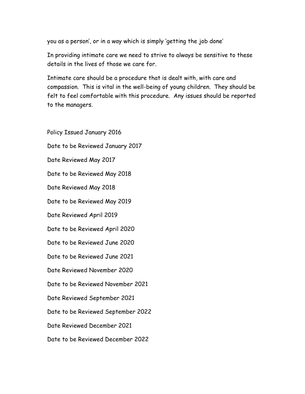you as a person', or in a way which is simply 'getting the job done'

In providing intimate care we need to strive to always be sensitive to these details in the lives of those we care for.

Intimate care should be a procedure that is dealt with, with care and compassion. This is vital in the well-being of young children. They should be felt to feel comfortable with this procedure. Any issues should be reported to the managers.

Policy Issued January 2016 Date to be Reviewed January 2017 Date Reviewed May 2017 Date to be Reviewed May 2018 Date Reviewed May 2018 Date to be Reviewed May 2019 Date Reviewed April 2019 Date to be Reviewed April 2020 Date to be Reviewed June 2020 Date to be Reviewed June 2021 Date Reviewed November 2020 Date to be Reviewed November 2021 Date Reviewed September 2021 Date to be Reviewed September 2022 Date Reviewed December 2021 Date to be Reviewed December 2022